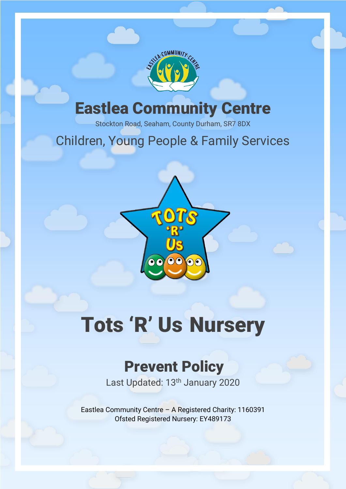

## Eastlea Community Centre

Stockton Road, Seaham, County Durham, SR7 8DX

## Children, Young People & Family Services



# Tots 'R' Us Nursery

## Prevent Policy

Last Updated: 13<sup>th</sup> January 2020

Eastlea Community Centre – A Registered Charity: 1160391 Ofsted Registered Nursery: EY489173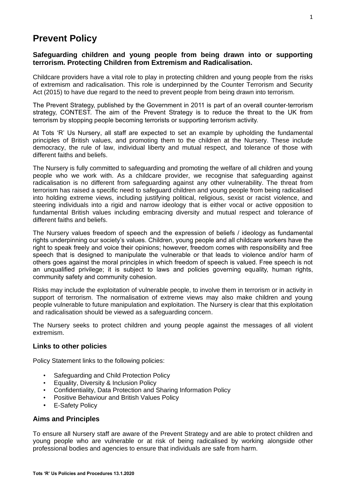### **Prevent Policy**

#### **Safeguarding children and young people from being drawn into or supporting terrorism. Protecting Children from Extremism and Radicalisation.**

Childcare providers have a vital role to play in protecting children and young people from the risks of extremism and radicalisation. This role is underpinned by the Counter Terrorism and Security Act (2015) to have due regard to the need to prevent people from being drawn into terrorism.

The Prevent Strategy, published by the Government in 2011 is part of an overall counter-terrorism strategy, CONTEST. The aim of the Prevent Strategy is to reduce the threat to the UK from terrorism by stopping people becoming terrorists or supporting terrorism activity.

At Tots 'R' Us Nursery, all staff are expected to set an example by upholding the fundamental principles of British values, and promoting them to the children at the Nursery. These include democracy, the rule of law, individual liberty and mutual respect, and tolerance of those with different faiths and beliefs.

The Nursery is fully committed to safeguarding and promoting the welfare of all children and young people who we work with. As a childcare provider, we recognise that safeguarding against radicalisation is no different from safeguarding against any other vulnerability. The threat from terrorism has raised a specific need to safeguard children and young people from being radicalised into holding extreme views, including justifying political, religious, sexist or racist violence, and steering individuals into a rigid and narrow ideology that is either vocal or active opposition to fundamental British values including embracing diversity and mutual respect and tolerance of different faiths and beliefs.

The Nursery values freedom of speech and the expression of beliefs / ideology as fundamental rights underpinning our society's values. Children, young people and all childcare workers have the right to speak freely and voice their opinions; however, freedom comes with responsibility and free speech that is designed to manipulate the vulnerable or that leads to violence and/or harm of others goes against the moral principles in which freedom of speech is valued. Free speech is not an unqualified privilege; it is subject to laws and policies governing equality, human rights, community safety and community cohesion.

Risks may include the exploitation of vulnerable people, to involve them in terrorism or in activity in support of terrorism. The normalisation of extreme views may also make children and young people vulnerable to future manipulation and exploitation. The Nursery is clear that this exploitation and radicalisation should be viewed as a safeguarding concern.

The Nursery seeks to protect children and young people against the messages of all violent extremism.

#### **Links to other policies**

Policy Statement links to the following policies:

- Safeguarding and Child Protection Policy
- Equality, Diversity & Inclusion Policy
- Confidentiality, Data Protection and Sharing Information Policy
- Positive Behaviour and British Values Policy
- E-Safety Policy

#### **Aims and Principles**

To ensure all Nursery staff are aware of the Prevent Strategy and are able to protect children and young people who are vulnerable or at risk of being radicalised by working alongside other professional bodies and agencies to ensure that individuals are safe from harm.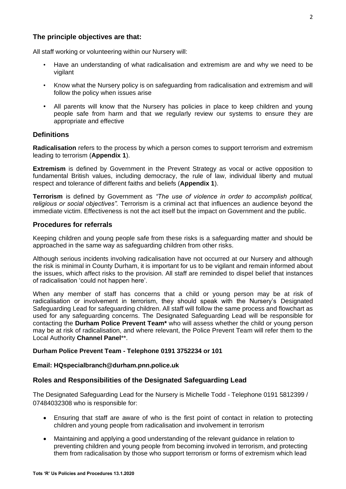#### **The principle objectives are that:**

All staff working or volunteering within our Nursery will:

- Have an understanding of what radicalisation and extremism are and why we need to be vigilant
- Know what the Nursery policy is on safeguarding from radicalisation and extremism and will follow the policy when issues arise
- All parents will know that the Nursery has policies in place to keep children and young people safe from harm and that we regularly review our systems to ensure they are appropriate and effective

#### **Definitions**

**Radicalisation** refers to the process by which a person comes to support terrorism and extremism leading to terrorism (**Appendix 1**).

**Extremism** is defined by Government in the Prevent Strategy as vocal or active opposition to fundamental British values, including democracy, the rule of law, individual liberty and mutual respect and tolerance of different faiths and beliefs (**Appendix 1**).

**Terrorism** is defined by Government as *"The use of violence in order to accomplish political, religious or social objectives".* Terrorism is a criminal act that influences an audience beyond the immediate victim. Effectiveness is not the act itself but the impact on Government and the public.

#### **Procedures for referrals**

Keeping children and young people safe from these risks is a safeguarding matter and should be approached in the same way as safeguarding children from other risks.

Although serious incidents involving radicalisation have not occurred at our Nursery and although the risk is minimal in County Durham, it is important for us to be vigilant and remain informed about the issues, which affect risks to the provision. All staff are reminded to dispel belief that instances of radicalisation 'could not happen here'.

When any member of staff has concerns that a child or young person may be at risk of radicalisation or involvement in terrorism, they should speak with the Nursery's Designated Safeguarding Lead for safeguarding children. All staff will follow the same process and flowchart as used for any safeguarding concerns. The Designated Safeguarding Lead will be responsible for contacting the **Durham Police Prevent Team\*** who will assess whether the child or young person may be at risk of radicalisation, and where relevant, the Police Prevent Team will refer them to the Local Authority **Channel Panel**\*\*.

#### **Durham Police Prevent Team - Telephone 0191 3752234 or 101**

#### **Email: HQspecialbranch@durham.pnn.police.uk**

#### **Roles and Responsibilities of the Designated Safeguarding Lead**

The Designated Safeguarding Lead for the Nursery is Michelle Todd - Telephone 0191 5812399 / 07484032308 who is responsible for:

- Ensuring that staff are aware of who is the first point of contact in relation to protecting children and young people from radicalisation and involvement in terrorism
- Maintaining and applying a good understanding of the relevant guidance in relation to preventing children and young people from becoming involved in terrorism, and protecting them from radicalisation by those who support terrorism or forms of extremism which lead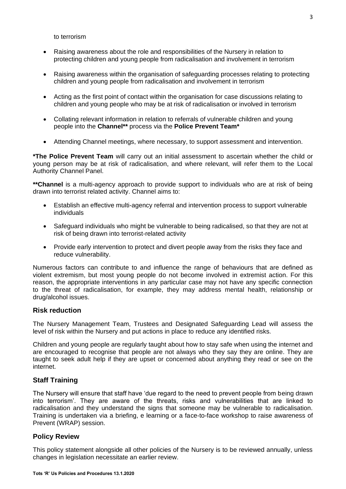to terrorism

- Raising awareness about the role and responsibilities of the Nursery in relation to protecting children and young people from radicalisation and involvement in terrorism
- Raising awareness within the organisation of safeguarding processes relating to protecting children and young people from radicalisation and involvement in terrorism
- Acting as the first point of contact within the organisation for case discussions relating to children and young people who may be at risk of radicalisation or involved in terrorism
- Collating relevant information in relation to referrals of vulnerable children and young people into the **Channel\*\*** process via the **Police Prevent Team\***
- Attending Channel meetings, where necessary, to support assessment and intervention.

**\*The Police Prevent Team** will carry out an initial assessment to ascertain whether the child or young person may be at risk of radicalisation, and where relevant, will refer them to the Local Authority Channel Panel.

**\*\*Channel** is a multi-agency approach to provide support to individuals who are at risk of being drawn into terrorist related activity. Channel aims to:

- Establish an effective multi-agency referral and intervention process to support vulnerable individuals
- Safeguard individuals who might be vulnerable to being radicalised, so that they are not at risk of being drawn into terrorist-related activity
- Provide early intervention to protect and divert people away from the risks they face and reduce vulnerability.

Numerous factors can contribute to and influence the range of behaviours that are defined as violent extremism, but most young people do not become involved in extremist action. For this reason, the appropriate interventions in any particular case may not have any specific connection to the threat of radicalisation, for example, they may address mental health, relationship or drug/alcohol issues.

#### **Risk reduction**

The Nursery Management Team, Trustees and Designated Safeguarding Lead will assess the level of risk within the Nursery and put actions in place to reduce any identified risks.

Children and young people are regularly taught about how to stay safe when using the internet and are encouraged to recognise that people are not always who they say they are online. They are taught to seek adult help if they are upset or concerned about anything they read or see on the internet.

#### **Staff Training**

The Nursery will ensure that staff have 'due regard to the need to prevent people from being drawn into terrorism'. They are aware of the threats, risks and vulnerabilities that are linked to radicalisation and they understand the signs that someone may be vulnerable to radicalisation. Training is undertaken via a briefing, e learning or a face-to-face workshop to raise awareness of Prevent (WRAP) session.

#### **Policy Review**

This policy statement alongside all other policies of the Nursery is to be reviewed annually, unless changes in legislation necessitate an earlier review.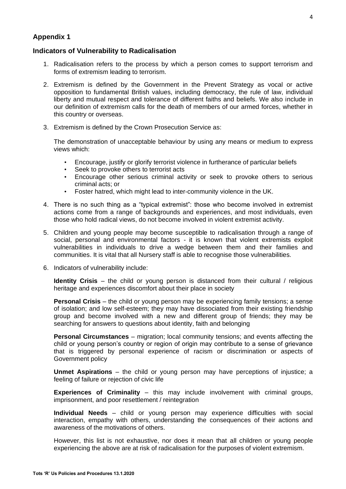#### **Appendix 1**

#### **Indicators of Vulnerability to Radicalisation**

- 1. Radicalisation refers to the process by which a person comes to support terrorism and forms of extremism leading to terrorism.
- 2. Extremism is defined by the Government in the Prevent Strategy as vocal or active opposition to fundamental British values, including democracy, the rule of law, individual liberty and mutual respect and tolerance of different faiths and beliefs. We also include in our definition of extremism calls for the death of members of our armed forces, whether in this country or overseas.
- 3. Extremism is defined by the Crown Prosecution Service as:

The demonstration of unacceptable behaviour by using any means or medium to express views which:

- Encourage, justify or glorify terrorist violence in furtherance of particular beliefs
- Seek to provoke others to terrorist acts
- Encourage other serious criminal activity or seek to provoke others to serious criminal acts; or
- Foster hatred, which might lead to inter-community violence in the UK.
- 4. There is no such thing as a "typical extremist": those who become involved in extremist actions come from a range of backgrounds and experiences, and most individuals, even those who hold radical views, do not become involved in violent extremist activity.
- 5. Children and young people may become susceptible to radicalisation through a range of social, personal and environmental factors - it is known that violent extremists exploit vulnerabilities in individuals to drive a wedge between them and their families and communities. It is vital that all Nursery staff is able to recognise those vulnerabilities.
- 6. Indicators of vulnerability include:

**Identity Crisis** – the child or young person is distanced from their cultural / religious heritage and experiences discomfort about their place in society

**Personal Crisis** – the child or young person may be experiencing family tensions; a sense of isolation; and low self-esteem; they may have dissociated from their existing friendship group and become involved with a new and different group of friends; they may be searching for answers to questions about identity, faith and belonging

**Personal Circumstances** – migration; local community tensions; and events affecting the child or young person's country or region of origin may contribute to a sense of grievance that is triggered by personal experience of racism or discrimination or aspects of Government policy

**Unmet Aspirations** – the child or young person may have perceptions of injustice; a feeling of failure or rejection of civic life

**Experiences of Criminality** – this may include involvement with criminal groups, imprisonment, and poor resettlement / reintegration

**Individual Needs** – child or young person may experience difficulties with social interaction, empathy with others, understanding the consequences of their actions and awareness of the motivations of others.

However, this list is not exhaustive, nor does it mean that all children or young people experiencing the above are at risk of radicalisation for the purposes of violent extremism.